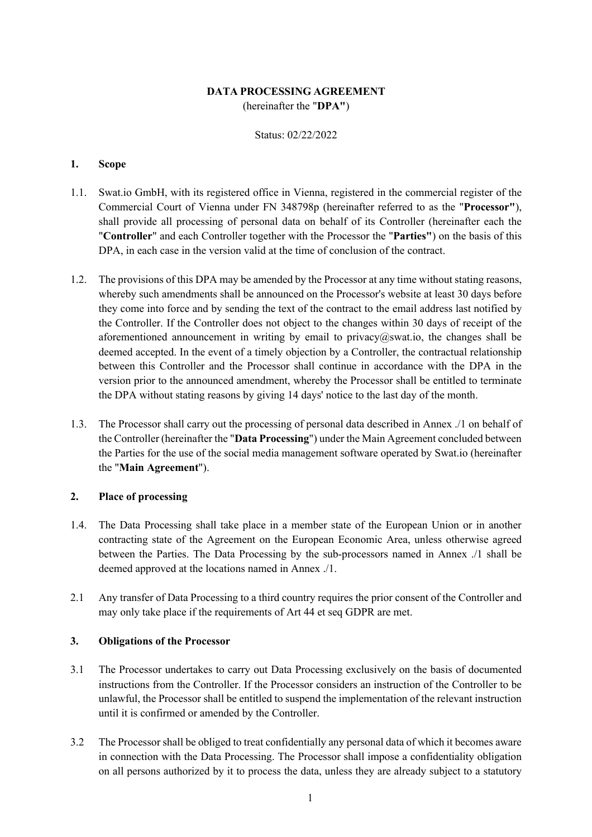## **DATA PROCESSING AGREEMENT** (hereinafter the "**DPA"**)

Status: 02/22/2022

## **1. Scope**

- 1.1. Swat.io GmbH, with its registered office in Vienna, registered in the commercial register of the Commercial Court of Vienna under FN 348798p (hereinafter referred to as the "**Processor"**), shall provide all processing of personal data on behalf of its Controller (hereinafter each the "**Controller**" and each Controller together with the Processor the "**Parties"**) on the basis of this DPA, in each case in the version valid at the time of conclusion of the contract.
- 1.2. The provisions of this DPA may be amended by the Processor at any time without stating reasons, whereby such amendments shall be announced on the Processor's website at least 30 days before they come into force and by sending the text of the contract to the email address last notified by the Controller. If the Controller does not object to the changes within 30 days of receipt of the aforementioned announcement in writing by email to  $\text{privacy}(a\text{)}\text{sw}$  such the changes shall be deemed accepted. In the event of a timely objection by a Controller, the contractual relationship between this Controller and the Processor shall continue in accordance with the DPA in the version prior to the announced amendment, whereby the Processor shall be entitled to terminate the DPA without stating reasons by giving 14 days' notice to the last day of the month.
- 1.3. The Processor shall carry out the processing of personal data described in Annex ./1 on behalf of the Controller (hereinafter the "**Data Processing**") under the Main Agreement concluded between the Parties for the use of the social media management software operated by Swat.io (hereinafter the "**Main Agreement**").

## **2. Place of processing**

- 1.4. The Data Processing shall take place in a member state of the European Union or in another contracting state of the Agreement on the European Economic Area, unless otherwise agreed between the Parties. The Data Processing by the sub-processors named in Annex ./1 shall be deemed approved at the locations named in Annex ./1.
- 2.1 Any transfer of Data Processing to a third country requires the prior consent of the Controller and may only take place if the requirements of Art 44 et seq GDPR are met.

## **3. Obligations of the Processor**

- 3.1 The Processor undertakes to carry out Data Processing exclusively on the basis of documented instructions from the Controller. If the Processor considers an instruction of the Controller to be unlawful, the Processor shall be entitled to suspend the implementation of the relevant instruction until it is confirmed or amended by the Controller.
- 3.2 The Processor shall be obliged to treat confidentially any personal data of which it becomes aware in connection with the Data Processing. The Processor shall impose a confidentiality obligation on all persons authorized by it to process the data, unless they are already subject to a statutory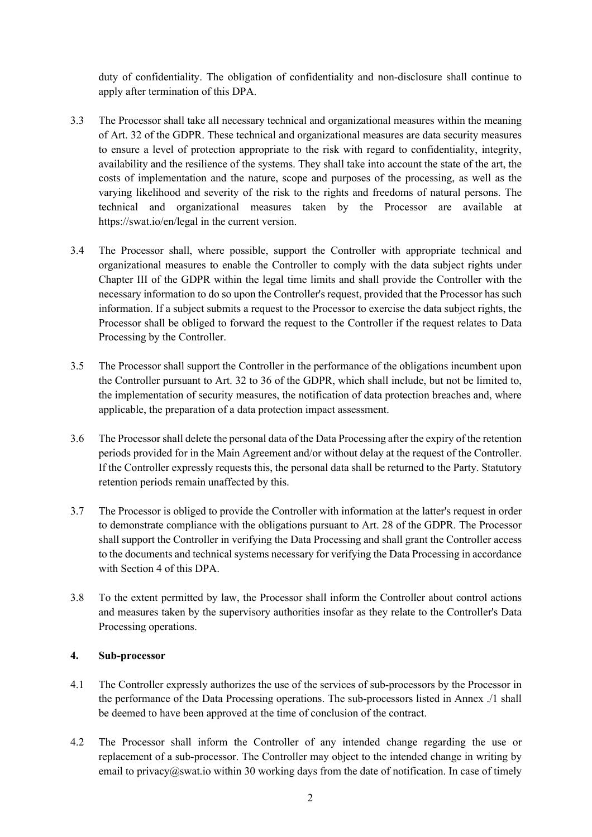duty of confidentiality. The obligation of confidentiality and non-disclosure shall continue to apply after termination of this DPA.

- 3.3 The Processor shall take all necessary technical and organizational measures within the meaning of Art. 32 of the GDPR. These technical and organizational measures are data security measures to ensure a level of protection appropriate to the risk with regard to confidentiality, integrity, availability and the resilience of the systems. They shall take into account the state of the art, the costs of implementation and the nature, scope and purposes of the processing, as well as the varying likelihood and severity of the risk to the rights and freedoms of natural persons. The technical and organizational measures taken by the Processor are available at https://swat.io/en/legal in the current version.
- 3.4 The Processor shall, where possible, support the Controller with appropriate technical and organizational measures to enable the Controller to comply with the data subject rights under Chapter III of the GDPR within the legal time limits and shall provide the Controller with the necessary information to do so upon the Controller's request, provided that the Processor has such information. If a subject submits a request to the Processor to exercise the data subject rights, the Processor shall be obliged to forward the request to the Controller if the request relates to Data Processing by the Controller.
- 3.5 The Processor shall support the Controller in the performance of the obligations incumbent upon the Controller pursuant to Art. 32 to 36 of the GDPR, which shall include, but not be limited to, the implementation of security measures, the notification of data protection breaches and, where applicable, the preparation of a data protection impact assessment.
- 3.6 The Processor shall delete the personal data of the Data Processing after the expiry of the retention periods provided for in the Main Agreement and/or without delay at the request of the Controller. If the Controller expressly requests this, the personal data shall be returned to the Party. Statutory retention periods remain unaffected by this.
- 3.7 The Processor is obliged to provide the Controller with information at the latter's request in order to demonstrate compliance with the obligations pursuant to Art. 28 of the GDPR. The Processor shall support the Controller in verifying the Data Processing and shall grant the Controller access to the documents and technical systems necessary for verifying the Data Processing in accordance with Section 4 of this DPA.
- 3.8 To the extent permitted by law, the Processor shall inform the Controller about control actions and measures taken by the supervisory authorities insofar as they relate to the Controller's Data Processing operations.

## **4. Sub-processor**

- 4.1 The Controller expressly authorizes the use of the services of sub-processors by the Processor in the performance of the Data Processing operations. The sub-processors listed in Annex ./1 shall be deemed to have been approved at the time of conclusion of the contract.
- 4.2 The Processor shall inform the Controller of any intended change regarding the use or replacement of a sub-processor. The Controller may object to the intended change in writing by email to privacy@swat.io within 30 working days from the date of notification. In case of timely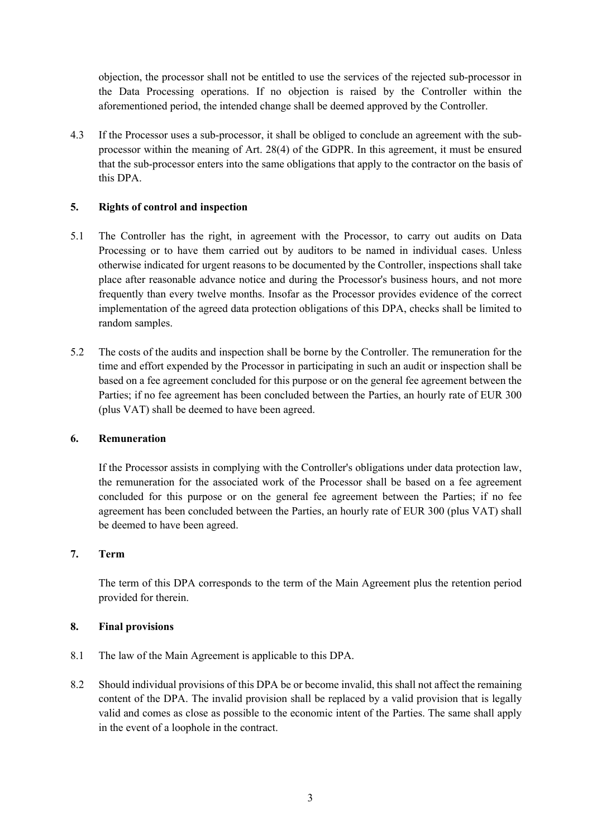objection, the processor shall not be entitled to use the services of the rejected sub-processor in the Data Processing operations. If no objection is raised by the Controller within the aforementioned period, the intended change shall be deemed approved by the Controller.

4.3 If the Processor uses a sub-processor, it shall be obliged to conclude an agreement with the subprocessor within the meaning of Art. 28(4) of the GDPR. In this agreement, it must be ensured that the sub-processor enters into the same obligations that apply to the contractor on the basis of this DPA.

## **5. Rights of control and inspection**

- 5.1 The Controller has the right, in agreement with the Processor, to carry out audits on Data Processing or to have them carried out by auditors to be named in individual cases. Unless otherwise indicated for urgent reasons to be documented by the Controller, inspections shall take place after reasonable advance notice and during the Processor's business hours, and not more frequently than every twelve months. Insofar as the Processor provides evidence of the correct implementation of the agreed data protection obligations of this DPA, checks shall be limited to random samples.
- 5.2 The costs of the audits and inspection shall be borne by the Controller. The remuneration for the time and effort expended by the Processor in participating in such an audit or inspection shall be based on a fee agreement concluded for this purpose or on the general fee agreement between the Parties; if no fee agreement has been concluded between the Parties, an hourly rate of EUR 300 (plus VAT) shall be deemed to have been agreed.

## **6. Remuneration**

If the Processor assists in complying with the Controller's obligations under data protection law, the remuneration for the associated work of the Processor shall be based on a fee agreement concluded for this purpose or on the general fee agreement between the Parties; if no fee agreement has been concluded between the Parties, an hourly rate of EUR 300 (plus VAT) shall be deemed to have been agreed.

# **7. Term**

The term of this DPA corresponds to the term of the Main Agreement plus the retention period provided for therein.

## **8. Final provisions**

- 8.1 The law of the Main Agreement is applicable to this DPA.
- 8.2 Should individual provisions of this DPA be or become invalid, this shall not affect the remaining content of the DPA. The invalid provision shall be replaced by a valid provision that is legally valid and comes as close as possible to the economic intent of the Parties. The same shall apply in the event of a loophole in the contract.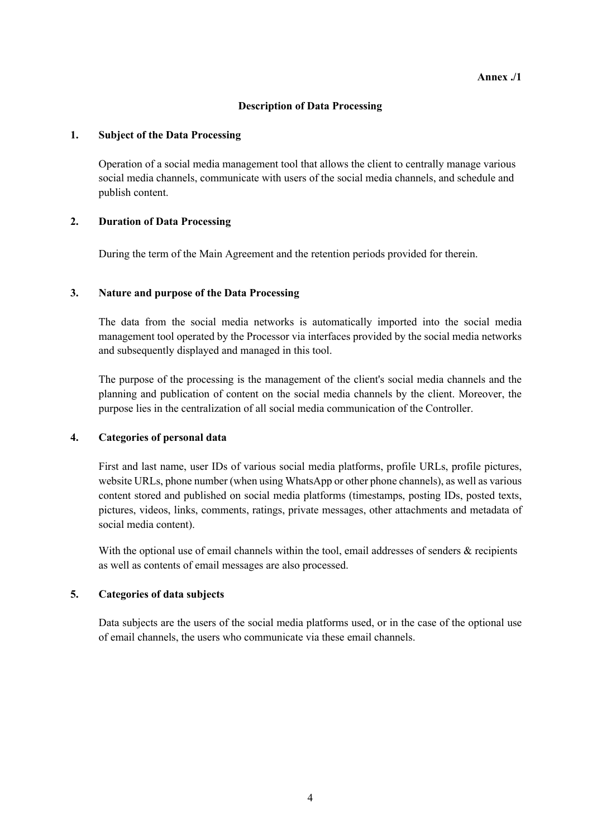#### **Description of Data Processing**

#### **1. Subject of the Data Processing**

Operation of a social media management tool that allows the client to centrally manage various social media channels, communicate with users of the social media channels, and schedule and publish content.

## **2. Duration of Data Processing**

During the term of the Main Agreement and the retention periods provided for therein.

## **3. Nature and purpose of the Data Processing**

The data from the social media networks is automatically imported into the social media management tool operated by the Processor via interfaces provided by the social media networks and subsequently displayed and managed in this tool.

The purpose of the processing is the management of the client's social media channels and the planning and publication of content on the social media channels by the client. Moreover, the purpose lies in the centralization of all social media communication of the Controller.

## **4. Categories of personal data**

First and last name, user IDs of various social media platforms, profile URLs, profile pictures, website URLs, phone number (when using WhatsApp or other phone channels), as well as various content stored and published on social media platforms (timestamps, posting IDs, posted texts, pictures, videos, links, comments, ratings, private messages, other attachments and metadata of social media content).

With the optional use of email channels within the tool, email addresses of senders  $\&$  recipients as well as contents of email messages are also processed.

## **5. Categories of data subjects**

Data subjects are the users of the social media platforms used, or in the case of the optional use of email channels, the users who communicate via these email channels.